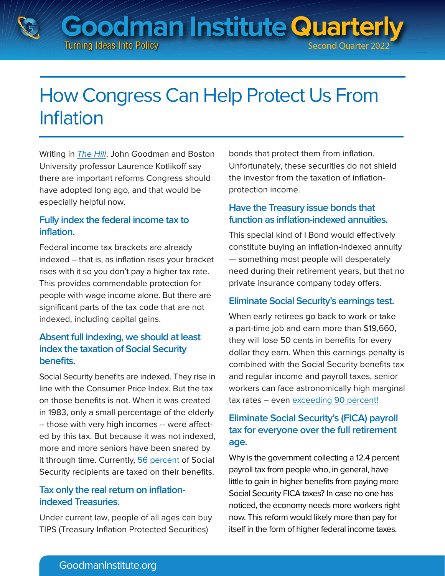**Goodman Institute Quarterly Turning Ideas Into Policy Second Quarter 202** 

# How Congress Can Help Protect Us From Inflation

Writing in **[The Hill](https://thehill.com/opinion/finance/3530813-heres-what-congress-can-do-to-lower-inflation/)**, John Goodman and Boston University professor Laurence Kotlikoff say there are important reforms Congress should have adopted long ago, and that would be especially helpful now.

#### **Fully index the federal income tax to inflation.**

Federal income tax brackets are already indexed -- that is, as inflation rises your bracket rises with it so you don't pay a higher tax rate. This provides commendable protection for people with wage income alone. But there are significant parts of the tax code that are not indexed, including capital gains.

# **Absent full indexing, we should at least index the taxation of Social Security benefits.**

Social Security benefits are indexed. They rise in line with the Consumer Price Index. But the tax on those benefits is not. When it was created in 1983, only a small percentage of the elderly -- those with very high incomes -- were affected by this tax. But because it was not indexed, more and more seniors have been snared by it through time. Currently, [56 percent](https://www.google.com/search?q=share+of+the+social+security+beneficiaries+paying+federal+income+tax+on+their+benefits&rlz=1C5CHFA_enUS943US944&oq=share+of+the+social+security+beneficiaries+paying+federal+income+tax+on+their+benefits&aqs=chrome..69i57.21818j0j7&sourceid=chrome&ie=UTF-8) of Social Security recipients are taxed on their benefits.

# **Tax only the real return on inflationindexed Treasuries.**

Under current law, people of all ages can buy TIPS (Treasury Inflation Protected Securities)

bonds that protect them from inflation. Unfortunately, these securities do not shield the investor from the taxation of inflationprotection income.

# **Have the Treasury issue bonds that function as inflation-indexed annuities.**

This special kind of I Bond would effectively constitute buying an inflation-indexed annuity — something most people will desperately need during their retirement years, but that no private insurance company today offers.

#### **Eliminate Social Security's earnings test.**

When early retirees go back to work or take a part-time job and earn more than \$19,660, they will lose 50 cents in benefits for every dollar they earn. When this earnings penalty is combined with the Social Security benefits tax and regular income and payroll taxes, senior workers can face astronomically high marginal tax rates – even [exceeding 90 percent!](https://www.goodmaninstitute.org/wp-content/uploads/2016/10/BA-115.pdf)

# **Eliminate Social Security's (FICA) payroll tax for everyone over the full retirement age.**

Why is the government collecting a 12.4 percent payroll tax from people who, in general, have little to gain in higher benefits from paying more Social Security FICA taxes? In case no one has noticed, the economy needs more workers right now. This reform would likely more than pay for itself in the form of higher federal income taxes.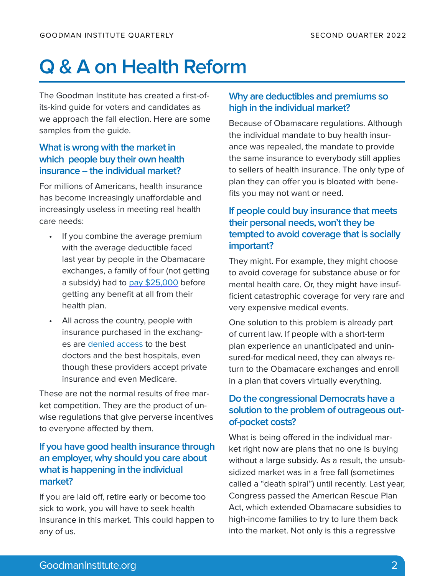# **Q & A on Health Reform**

The Goodman Institute has created a first-ofits-kind guide for voters and candidates as we approach the fall election. Here are some samples from the guide.

#### **What is wrong with the market in which people buy their own health insurance -- the individual market?**

For millions of Americans, health insurance has become increasingly unaffordable and increasingly useless in meeting real health care needs:

- If you combine the average premium with the average deductible faced last year by people in the Obamacare exchanges, a family of four (not getting a subsidy) had to [pay \\$25,000](https://www.ehealthinsurance.com/resources/affordable-care-act/much-health-insurance-cost-without-subsidy) before getting any benefit at all from their health plan.
- All across the country, people with insurance purchased in the exchanges are [denied access](https://www.wsj.com/articles/obamacare-can-be-worse-than-medicaid-1530052891) to the best doctors and the best hospitals, even though these providers accept private insurance and even Medicare.

These are not the normal results of free market competition. They are the product of unwise regulations that give perverse incentives to everyone affected by them.

#### **If you have good health insurance through an employer, why should you care about what is happening in the individual market?**

If you are laid off, retire early or become too sick to work, you will have to seek health insurance in this market. This could happen to any of us.

#### **Why are deductibles and premiums so high in the individual market?**

Because of Obamacare regulations. Although the individual mandate to buy health insurance was repealed, the mandate to provide the same insurance to everybody still applies to sellers of health insurance. The only type of plan they can offer you is bloated with benefits you may not want or need.

# **If people could buy insurance that meets their personal needs, won't they be tempted to avoid coverage that is socially important?**

They might. For example, they might choose to avoid coverage for substance abuse or for mental health care. Or, they might have insufficient catastrophic coverage for very rare and very expensive medical events.

One solution to this problem is already part of current law. If people with a short-term plan experience an unanticipated and uninsured-for medical need, they can always return to the Obamacare exchanges and enroll in a plan that covers virtually everything.

# **Do the congressional Democrats have a solution to the problem of outrageous outof-pocket costs?**

What is being offered in the individual market right now are plans that no one is buying without a large subsidy. As a result, the unsubsidized market was in a free fall (sometimes called a "death spiral") until recently. Last year, Congress passed the American Rescue Plan Act, which extended Obamacare subsidies to high-income families to try to lure them back into the market. Not only is this a regressive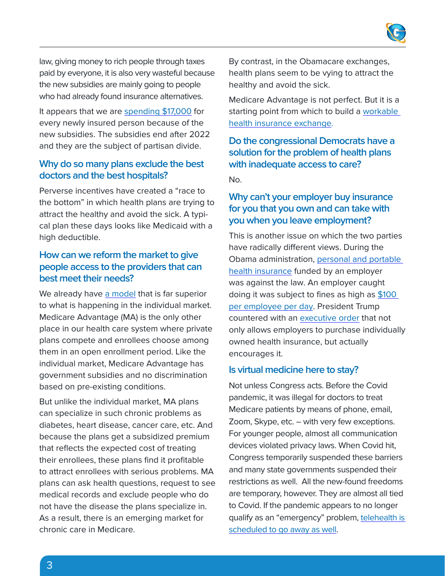

law, giving money to rich people through taxes paid by everyone, it is also very wasteful because the new subsidies are mainly going to people who had already found insurance alternatives.

It appears that we are [spending \\$17,000](https://edlabor.house.gov/imo/media/doc/BlaseBrianTestimony%200217221.pdf) for every newly insured person because of the new subsidies. The subsidies end after 2022 and they are the subject of partisan divide.

#### **Why do so many plans exclude the best doctors and the best hospitals?**

Perverse incentives have created a "race to the bottom" in which health plans are trying to attract the healthy and avoid the sick. A typical plan these days looks like Medicaid with a high deductible.

#### **How can we reform the market to give people access to the providers that can best meet their needs?**

We already have [a model](https://www.goodmaninstitute.org/2021/03/17/how-to-reform-obamacare/) that is far superior to what is happening in the individual market. Medicare Advantage (MA) is the only other place in our health care system where private plans compete and enrollees choose among them in an open enrollment period. Like the individual market, Medicare Advantage has government subsidies and no discrimination based on pre-existing conditions.

But unlike the individual market, MA plans can specialize in such chronic problems as diabetes, heart disease, cancer care, etc. And because the plans get a subsidized premium that reflects the expected cost of treating their enrollees, these plans find it profitable to attract enrollees with serious problems. MA plans can ask health questions, request to see medical records and exclude people who do not have the disease the plans specialize in. As a result, there is an emerging market for chronic care in Medicare.

By contrast, in the Obamacare exchanges, health plans seem to be vying to attract the healthy and avoid the sick.

Medicare Advantage is not perfect. But it is a starting point from which to build a workable [health insurance exchange](https://www.goodmaninstitute.org/wp-content/uploads/2016/04/BA-106.pdf).

**Do the congressional Democrats have a solution for the problem of health plans with inadequate access to care?**

No.

# **Why can't your employer buy insurance for you that you own and can take with you when you leave employment?**

This is another issue on which the two parties have radically different views. During the Obama administration, [personal and portable](https://www.goodmaninstitute.org/wp-content/uploads/2016/04/BA-105.pdf)  [health insurance](https://www.goodmaninstitute.org/wp-content/uploads/2016/04/BA-105.pdf) funded by an employer was against the law. An employer caught doing it was subject to fines as high as [\\$100](https://www.forbes.com/sites/gracemarieturner/2015/06/30/small-businesses-threatened-with-36500-irs-fines-for-helping-employees-with-health-costs/?sh=4065045e77f7)  [per employee per day.](https://www.forbes.com/sites/gracemarieturner/2015/06/30/small-businesses-threatened-with-36500-irs-fines-for-helping-employees-with-health-costs/?sh=4065045e77f7) President Trump countered with an [executive order](https://www.goodmaninstitute.org/2019/06/28/a-win-for-the-goodman-institute/) that not only allows employers to purchase individually owned health insurance, but actually encourages it.

#### **Is virtual medicine here to stay?**

Not unless Congress acts. Before the Covid pandemic, it was illegal for doctors to treat Medicare patients by means of phone, email, Zoom, Skype, etc. – with very few exceptions. For younger people, almost all communication devices violated privacy laws. When Covid hit, Congress temporarily suspended these barriers and many state governments suspended their restrictions as well. All the new-found freedoms are temporary, however. They are almost all tied to Covid. If the pandemic appears to no longer qualify as an "emergency" problem, telehealth is [scheduled to go away as well.](https://heartlanddailynews.com/2022/03/congress-extends-telehealth-beyond-pandemic/)